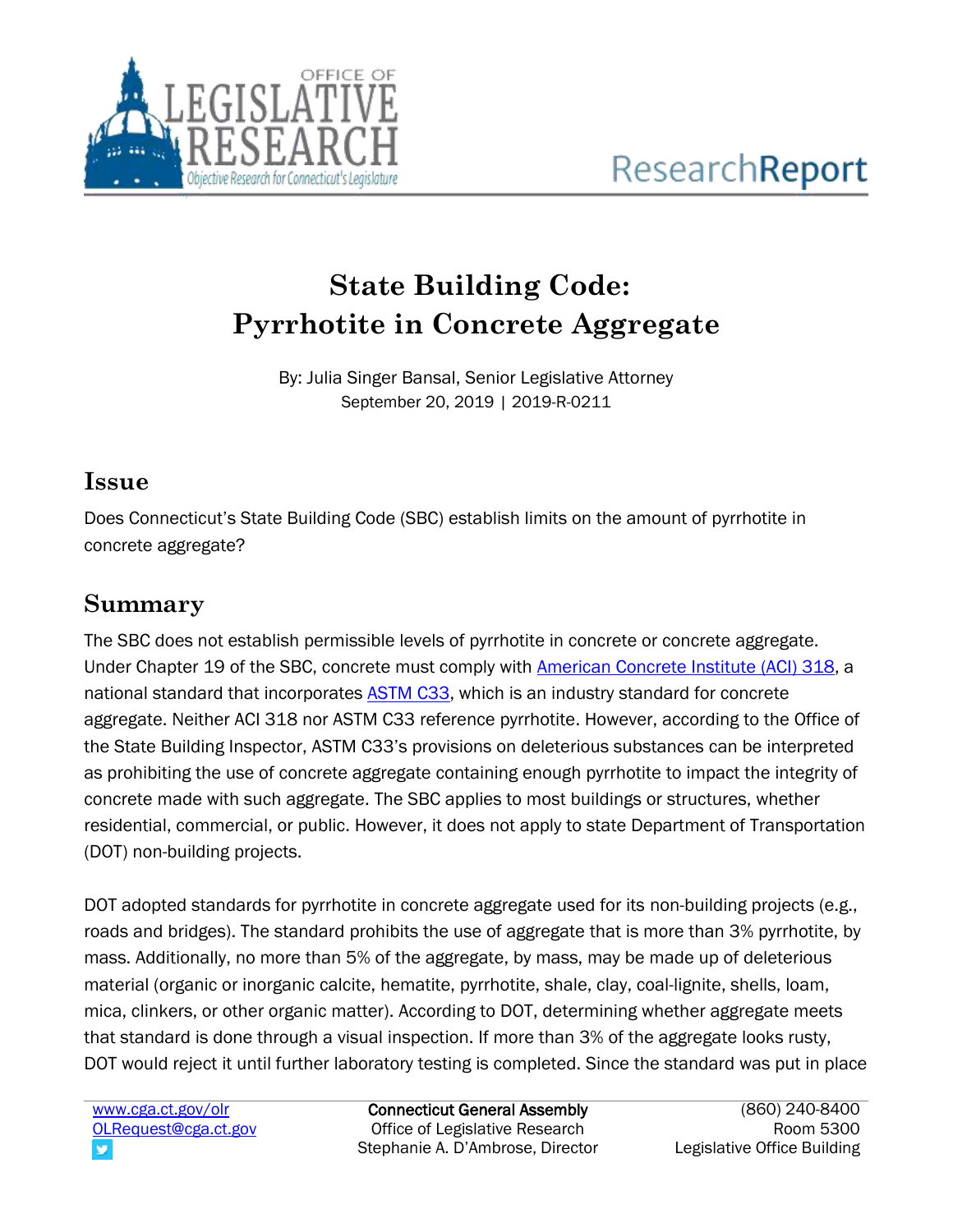

# **State Building Code: Pyrrhotite in Concrete Aggregate**

By: Julia Singer Bansal, Senior Legislative Attorney September 20, 2019 | 2019-R-0211

# **Issue**

Does Connecticut's State Building Code (SBC) establish limits on the amount of pyrrhotite in concrete aggregate?

# **Summary**

The SBC does not establish permissible levels of pyrrhotite in concrete or concrete aggregate. Under Chapter 19 of the SBC, concrete must comply with [American Concrete Institute](https://www.concrete.org/tools/318buildingcodeportal.aspx.aspx) (ACI) 318, a national standard that incorporates [ASTM C33,](https://www.astm.org/Standards/C33) which is an industry standard for concrete aggregate. Neither ACI 318 nor ASTM C33 reference pyrrhotite. However, according to the Office of the State Building Inspector, ASTM C33's provisions on deleterious substances can be interpreted as prohibiting the use of concrete aggregate containing enough pyrrhotite to impact the integrity of concrete made with such aggregate. The SBC applies to most buildings or structures, whether residential, commercial, or public. However, it does not apply to state Department of Transportation (DOT) non-building projects.

DOT adopted standards for pyrrhotite in concrete aggregate used for its non-building projects (e.g., roads and bridges). The standard prohibits the use of aggregate that is more than 3% pyrrhotite, by mass. Additionally, no more than 5% of the aggregate, by mass, may be made up of deleterious material (organic or inorganic calcite, hematite, pyrrhotite, shale, clay, coal-lignite, shells, loam, mica, clinkers, or other organic matter). According to DOT, determining whether aggregate meets that standard is done through a visual inspection. If more than 3% of the aggregate looks rusty, DOT would reject it until further laboratory testing is completed. Since the standard was put in place

[www.cga.ct.gov/olr](http://www.cga.ct.gov/olr) [OLRequest@cga.ct.gov](mailto:OLRequest@cga.ct.gov)

Connecticut General Assembly Office of Legislative Research Stephanie A. D'Ambrose, Director

(860) 240-8400 Room 5300 Legislative Office Building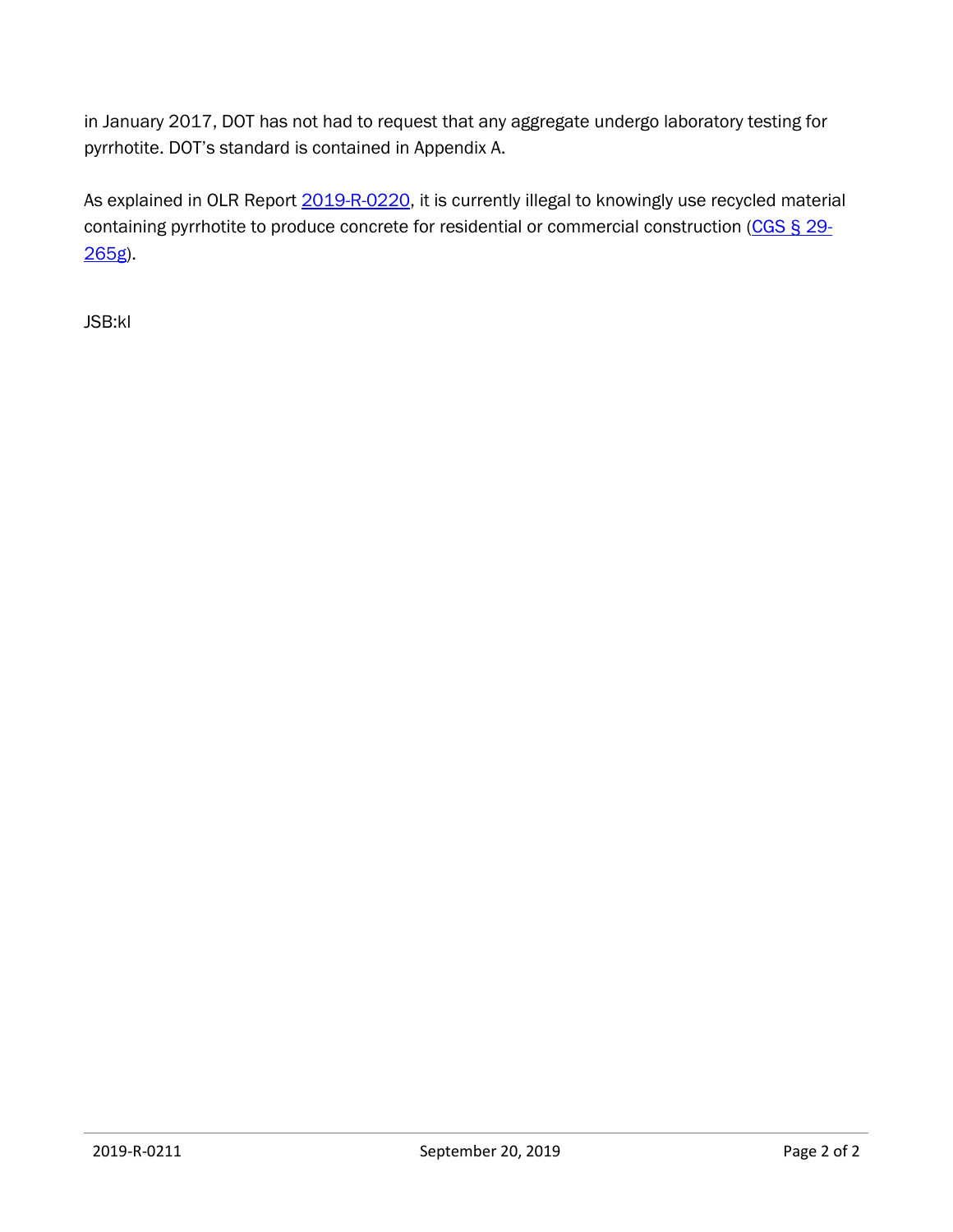in January 2017, DOT has not had to request that any aggregate undergo laboratory testing for pyrrhotite. DOT's standard is contained in Appendix A.

As explained in OLR Report [2019-R-0220,](https://www.cga.ct.gov/2019/rpt/pdf/2019-R-0220.pdf) it is currently illegal to knowingly use recycled material containing pyrrhotite to produce concrete for residential or commercial construction [\(CGS § 29-](https://www.cga.ct.gov/current/pub/chap_541.htm#sec_29-265g) [265g\)](https://www.cga.ct.gov/current/pub/chap_541.htm#sec_29-265g).

JSB:kl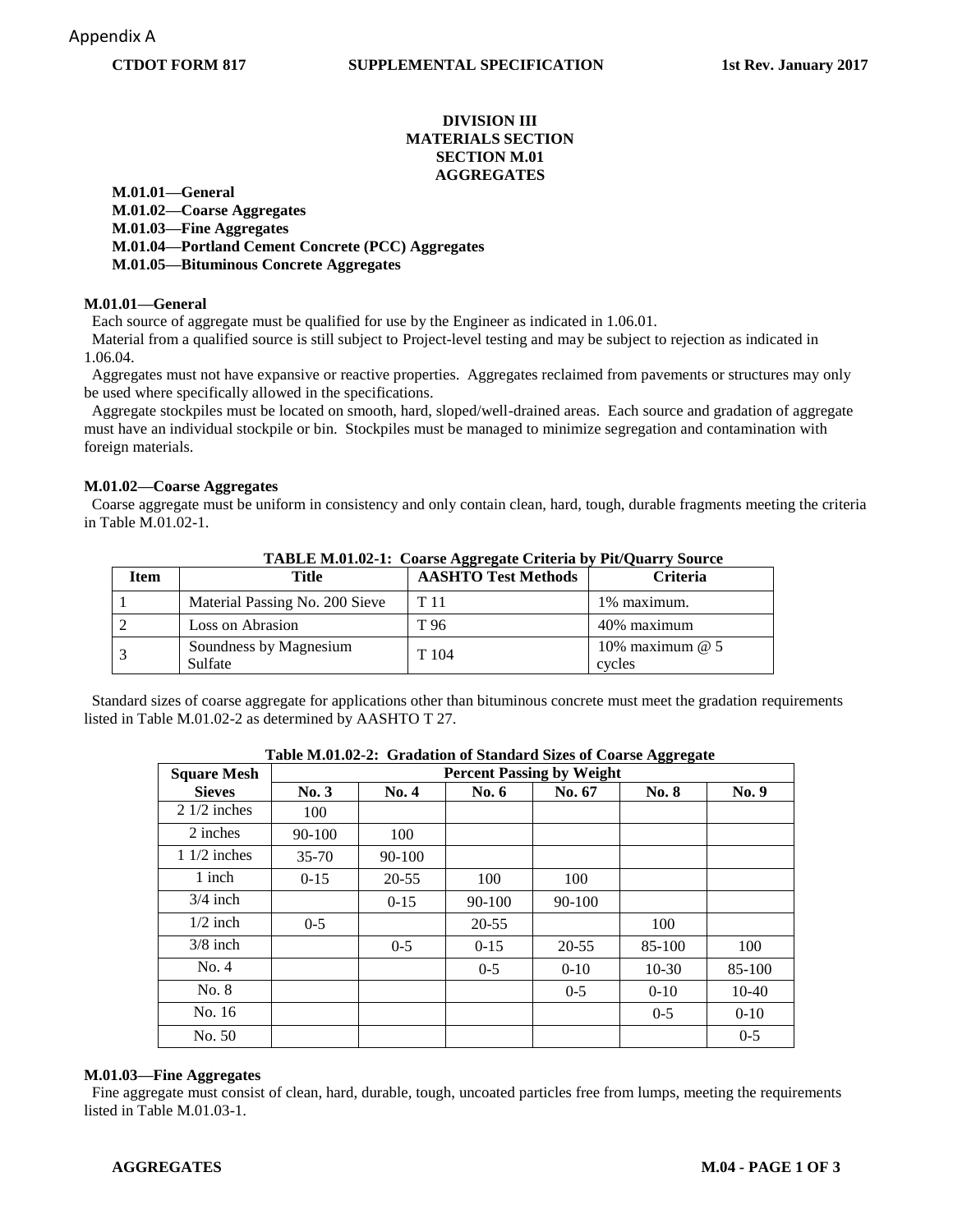### **CTDOT FORM 817 SUPPLEMENTAL SPECIFICATION 1st Rev. January 2017**

# **DIVISION III MATERIALS SECTION SECTION M.01 AGGREGATES**

**M.01.01—General M.01.02—Coarse Aggregates M.01.03—Fine Aggregates M.01.04—Portland Cement Concrete (PCC) Aggregates M.01.05—Bituminous Concrete Aggregates**

#### **M.01.01—General**

Each source of aggregate must be qualified for use by the Engineer as indicated in 1.06.01.

 Material from a qualified source is still subject to Project-level testing and may be subject to rejection as indicated in 1.06.04.

Aggregates must not have expansive or reactive properties. Aggregates reclaimed from pavements or structures may only be used where specifically allowed in the specifications.

 Aggregate stockpiles must be located on smooth, hard, sloped/well-drained areas. Each source and gradation of aggregate must have an individual stockpile or bin. Stockpiles must be managed to minimize segregation and contamination with foreign materials.

#### **M.01.02—Coarse Aggregates**

 Coarse aggregate must be uniform in consistency and only contain clean, hard, tough, durable fragments meeting the criteria in Table M.01.02-1.

| <b>Item</b> | Title                             | <b>AASHTO Test Methods</b> | <b>Criteria</b>             |
|-------------|-----------------------------------|----------------------------|-----------------------------|
|             | Material Passing No. 200 Sieve    | T 11                       | 1% maximum.                 |
|             | Loss on Abrasion                  | T 96                       | 40% maximum                 |
|             | Soundness by Magnesium<br>Sulfate | T 104                      | 10% maximum $@$ 5<br>cycles |

**TABLE M.01.02-1: Coarse Aggregate Criteria by Pit/Quarry Source**

 Standard sizes of coarse aggregate for applications other than bituminous concrete must meet the gradation requirements listed in Table M.01.02-2 as determined by AASHTO T 27.

| Table M.01.02-2. Grauation of Standard Sizes of Coarse Aggregate |                                  |           |           |           |              |          |  |  |
|------------------------------------------------------------------|----------------------------------|-----------|-----------|-----------|--------------|----------|--|--|
| <b>Square Mesh</b>                                               | <b>Percent Passing by Weight</b> |           |           |           |              |          |  |  |
| <b>Sieves</b>                                                    | No. 3                            | No. 4     | No. 6     | No. 67    | <b>No. 8</b> | No. 9    |  |  |
| $21/2$ inches                                                    | 100                              |           |           |           |              |          |  |  |
| 2 inches                                                         | 90-100                           | 100       |           |           |              |          |  |  |
| $11/2$ inches                                                    | $35 - 70$                        | 90-100    |           |           |              |          |  |  |
| 1 inch                                                           | $0-15$                           | $20 - 55$ | 100       | 100       |              |          |  |  |
| $3/4$ inch                                                       |                                  | $0-15$    | 90-100    | 90-100    |              |          |  |  |
| $1/2$ inch                                                       | $0 - 5$                          |           | $20 - 55$ |           | 100          |          |  |  |
| $3/8$ inch                                                       |                                  | $0 - 5$   | $0-15$    | $20 - 55$ | 85-100       | 100      |  |  |
| No. 4                                                            |                                  |           | $0 - 5$   | $0 - 10$  | $10-30$      | 85-100   |  |  |
| No. 8                                                            |                                  |           |           | $0 - 5$   | $0 - 10$     | $10-40$  |  |  |
| No. 16                                                           |                                  |           |           |           | $0 - 5$      | $0 - 10$ |  |  |
| No. 50                                                           |                                  |           |           |           |              | $0 - 5$  |  |  |

**Table M.01.02-2: Gradation of Standard Sizes of Coarse Aggregate**

#### **M.01.03—Fine Aggregates**

Fine aggregate must consist of clean, hard, durable, tough, uncoated particles free from lumps, meeting the requirements listed in Table M 01 03-1.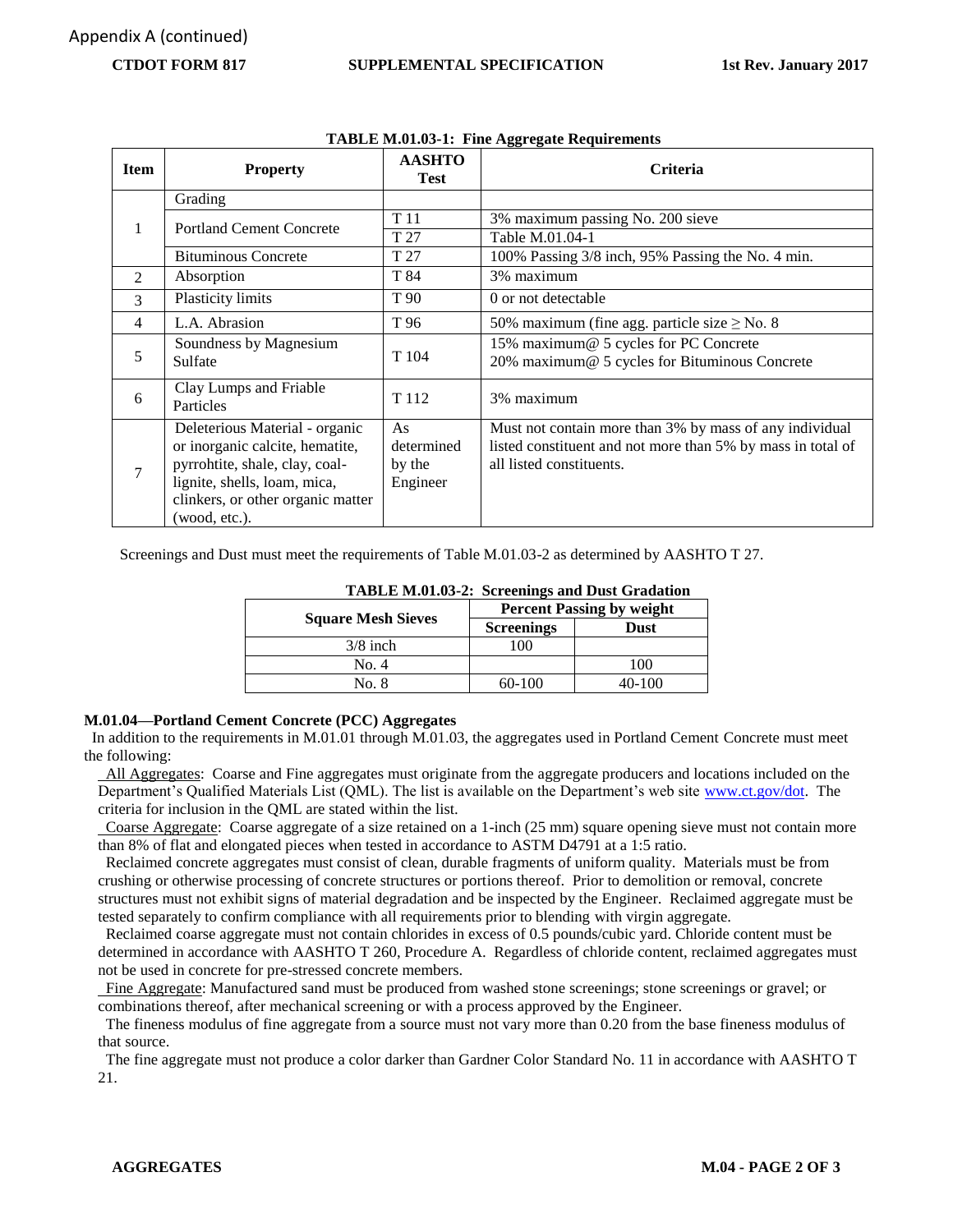# **CTDOT FORM 817 SUPPLEMENTAL SPECIFICATION 1st Rev. January 2017**

| <b>Item</b>    | <b>Property</b>                   | <b>AASHTO</b><br><b>Test</b> | <b>Criteria</b>                                             |  |  |
|----------------|-----------------------------------|------------------------------|-------------------------------------------------------------|--|--|
|                | Grading                           |                              |                                                             |  |  |
| 1              | <b>Portland Cement Concrete</b>   | T 11                         | 3% maximum passing No. 200 sieve                            |  |  |
|                |                                   | T 27                         | Table M.01.04-1                                             |  |  |
|                | <b>Bituminous Concrete</b>        | T 27                         | 100% Passing 3/8 inch, 95% Passing the No. 4 min.           |  |  |
| $\mathfrak{D}$ | Absorption                        | T 84                         | 3% maximum                                                  |  |  |
| 3              | <b>Plasticity limits</b>          | T 90                         | 0 or not detectable                                         |  |  |
| 4              | L.A. Abrasion                     | T 96                         | 50% maximum (fine agg. particle size $\geq$ No. 8           |  |  |
| 5              | Soundness by Magnesium            | T 104                        | 15% maximum@ 5 cycles for PC Concrete                       |  |  |
|                | Sulfate                           |                              | 20% maximum@ 5 cycles for Bituminous Concrete               |  |  |
| 6              | Clay Lumps and Friable            | T 112                        | 3% maximum                                                  |  |  |
|                | Particles                         |                              |                                                             |  |  |
|                | Deleterious Material - organic    | As                           | Must not contain more than 3% by mass of any individual     |  |  |
|                | or inorganic calcite, hematite,   | determined                   | listed constituent and not more than 5% by mass in total of |  |  |
| 7              | pyrrohtite, shale, clay, coal-    | by the                       | all listed constituents.                                    |  |  |
|                | lignite, shells, loam, mica,      | Engineer                     |                                                             |  |  |
|                | clinkers, or other organic matter |                              |                                                             |  |  |
|                | (wood, etc.).                     |                              |                                                             |  |  |

#### **TABLE M.01.03-1: Fine Aggregate Requirements**

Screenings and Dust must meet the requirements of Table M.01.03-2 as determined by AASHTO T 27.

|                           | TADLE M.01.03-2. SCreenings and Dust Gradation<br><b>Percent Passing by weight</b> |             |  |
|---------------------------|------------------------------------------------------------------------------------|-------------|--|
| <b>Square Mesh Sieves</b> | <b>Screenings</b>                                                                  | <b>Dust</b> |  |
| $3/8$ inch                | 00                                                                                 |             |  |
| No. 4                     |                                                                                    | 100         |  |
| No. 8                     | $60-100$                                                                           | 40-100      |  |

# **TABLE M.01.03-2: Screenings and Dust Gradation**

# **M.01.04—Portland Cement Concrete (PCC) Aggregates**

 In addition to the requirements in M.01.01 through M.01.03, the aggregates used in Portland Cement Concrete must meet the following:

 All Aggregates: Coarse and Fine aggregates must originate from the aggregate producers and locations included on the Department's Qualified Materials List (QML). The list is available on the Department's web site [www.ct.gov/dot.](http://www.ct.gov/dot) The criteria for inclusion in the QML are stated within the list.

 Coarse Aggregate: Coarse aggregate of a size retained on a 1-inch (25 mm) square opening sieve must not contain more than 8% of flat and elongated pieces when tested in accordance to ASTM D4791 at a 1:5 ratio.

 Reclaimed concrete aggregates must consist of clean, durable fragments of uniform quality. Materials must be from crushing or otherwise processing of concrete structures or portions thereof. Prior to demolition or removal, concrete structures must not exhibit signs of material degradation and be inspected by the Engineer. Reclaimed aggregate must be tested separately to confirm compliance with all requirements prior to blending with virgin aggregate.

 Reclaimed coarse aggregate must not contain chlorides in excess of 0.5 pounds/cubic yard. Chloride content must be determined in accordance with AASHTO T 260, Procedure A. Regardless of chloride content, reclaimed aggregates must not be used in concrete for pre-stressed concrete members.

 Fine Aggregate: Manufactured sand must be produced from washed stone screenings; stone screenings or gravel; or combinations thereof, after mechanical screening or with a process approved by the Engineer.

 The fineness modulus of fine aggregate from a source must not vary more than 0.20 from the base fineness modulus of that source.

 The fine aggregate must not produce a color darker than Gardner Color Standard No. 11 in accordance with AASHTO T 21.